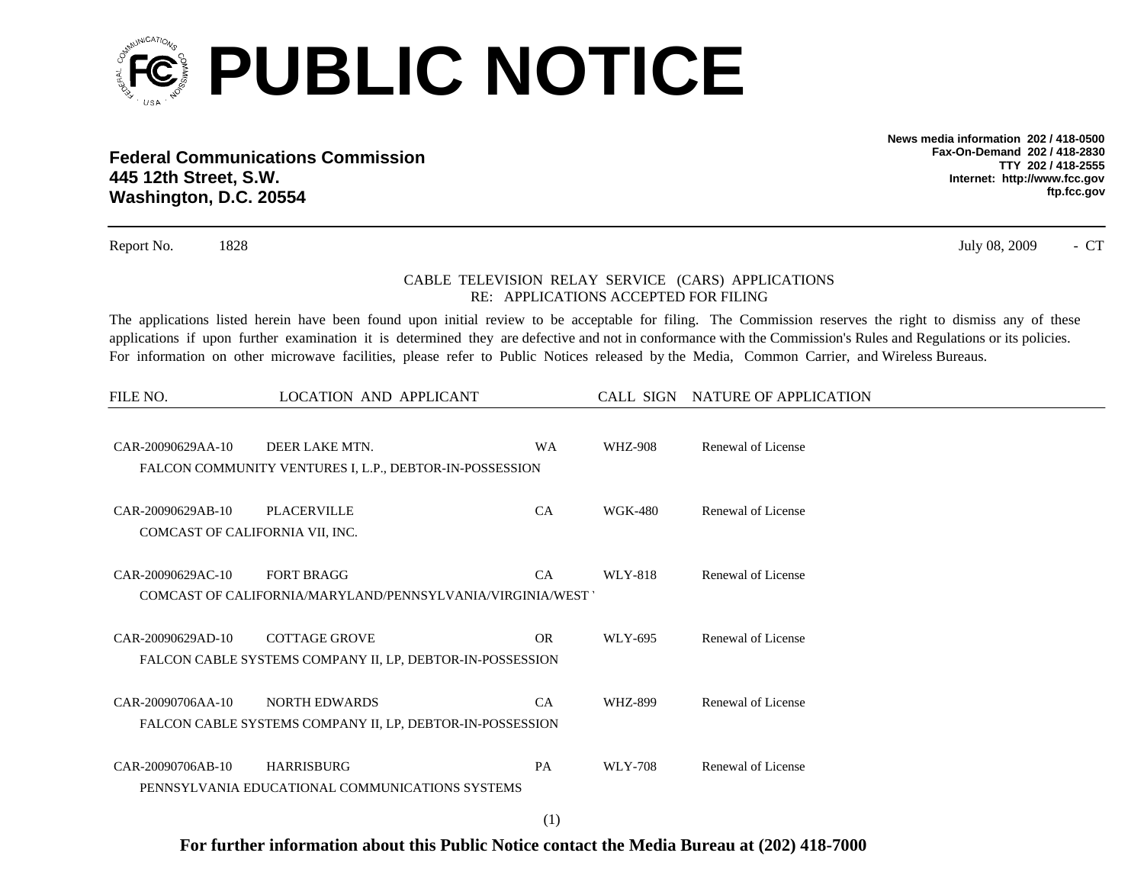

**Federal Communications Commission445 12th Street, S.W. Washington, D.C. 20554**

**News media information 202 / 418-0500Fax-On-Demand 202 / 418-2830TTY 202 / 418-2555Internet: http://www.fcc.gov ftp.fcc.gov**

- CT

Report No. 1828 July 08, 2009

## CABLE TELEVISION RELAY SERVICE (CARS) APPLICATIONS RE: APPLICATIONS ACCEPTED FOR FILING

The applications listed herein have been found upon initial review to be acceptable for filing. The Commission reserves the right to dismiss any of these applications if upon further examination it is determined they are defective and not in conformance with the Commission's Rules and Regulations or its policies. For information on other microwave facilities, please refer to Public Notices released by the Media, Common Carrier, and Wireless Bureaus.

| FILE NO.                                             | LOCATION AND APPLICANT                                                            |           |                | CALL SIGN NATURE OF APPLICATION |
|------------------------------------------------------|-----------------------------------------------------------------------------------|-----------|----------------|---------------------------------|
| CAR-20090629AA-10                                    | DEER LAKE MTN.<br>FALCON COMMUNITY VENTURES I, L.P., DEBTOR-IN-POSSESSION         | <b>WA</b> | <b>WHZ-908</b> | Renewal of License              |
| CAR-20090629AB-10<br>COMCAST OF CALIFORNIA VII, INC. | PLACERVILLE                                                                       | CA        | <b>WGK-480</b> | Renewal of License              |
| CAR-20090629AC-10                                    | <b>FORT BRAGG</b><br>COMCAST OF CALIFORNIA/MARYLAND/PENNSYLVANIA/VIRGINIA/WEST    | <b>CA</b> | WLY-818        | Renewal of License              |
| CAR-20090629AD-10                                    | <b>COTTAGE GROVE</b><br>FALCON CABLE SYSTEMS COMPANY II, LP, DEBTOR-IN-POSSESSION | <b>OR</b> | WLY-695        | Renewal of License              |
| CAR-20090706AA-10                                    | <b>NORTH EDWARDS</b><br>FALCON CABLE SYSTEMS COMPANY II, LP, DEBTOR-IN-POSSESSION | <b>CA</b> | WHZ-899        | Renewal of License              |
| CAR-20090706AB-10                                    | <b>HARRISBURG</b><br>PENNSYLVANIA EDUCATIONAL COMMUNICATIONS SYSTEMS              | <b>PA</b> | WLY-708        | Renewal of License              |

**For further information about this Public Notice contact the Media Bureau at (202) 418-7000**